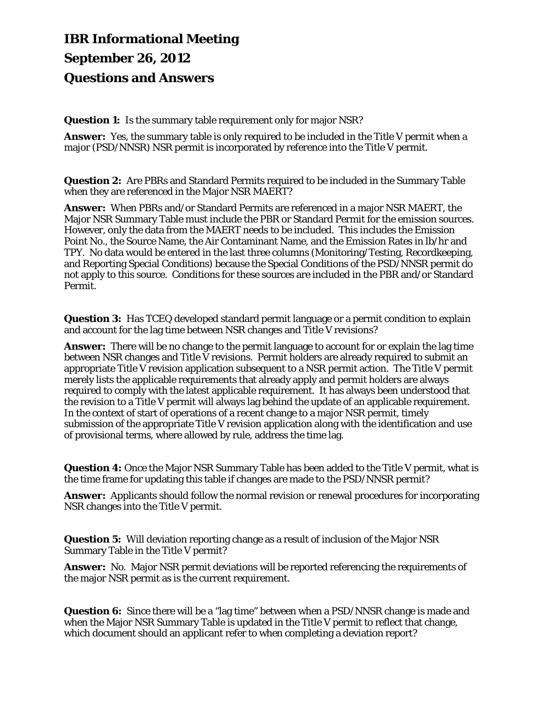# **IBR Informational Meeting September 26, 2012 Questions and Answers**

**Question 1:** Is the summary table requirement only for major NSR?

 **Answer:** Yes, the summary table is only required to be included in the Title V permit when a major (PSD/NNSR) NSR permit is incorporated by reference into the Title V permit.

 **Question 2:** Are PBRs and Standard Permits required to be included in the Summary Table when they are referenced in the Major NSR MAERT?

 **Answer:** When PBRs and/or Standard Permits are referenced in a major NSR MAERT, the Major NSR Summary Table must include the PBR or Standard Permit for the emission sources.<br>However, only the data from the MAERT needs to be included. This includes the Emission Point No., the Source Name, the Air Contaminant Name, and the Emission Rates in lb/hr and TPY. No data would be entered in the last three columns (Monitoring/Testing, Recordkeeping, and Reporting Special Conditions) because the Special Conditions of the PSD/NNSR permit do not apply to this source. Conditions for these sources are included in the PBR and/or Standard Permit.

 **Question 3:** Has TCEQ developed standard permit language or a permit condition to explain and account for the lag time between NSR changes and Title V revisions?

 **Answer:** There will be no change to the permit language to account for or explain the lag time the revision to a Title V permit will always lag behind the update of an applicable requirement. In the context of start of operations of a recent change to a major NSR permit, timely between NSR changes and Title V revisions. Permit holders are already required to submit an appropriate Title V revision application subsequent to a NSR permit action. The Title V permit merely lists the applicable requirements that already apply and permit holders are always required to comply with the latest applicable requirement. It has always been understood that submission of the appropriate Title V revision application along with the identification and use of provisional terms, where allowed by rule, address the time lag.

 **Question 4:** Once the Major NSR Summary Table has been added to the Title V permit, what is the time frame for updating this table if changes are made to the PSD/NNSR permit?

 **Answer:** Applicants should follow the normal revision or renewal procedures for incorporating NSR changes into the Title V permit.

 **Question 5:** Will deviation reporting change as a result of inclusion of the Major NSR Summary Table in the Title V permit?

 **Answer:** No. Major NSR permit deviations will be reported referencing the requirements of the major NSR permit as is the current requirement.

 **Question 6:** Since there will be a "lag time" between when a PSD/NNSR change is made and when the Major NSR Summary Table is updated in the Title V permit to reflect that change, which document should an applicant refer to when completing a deviation report?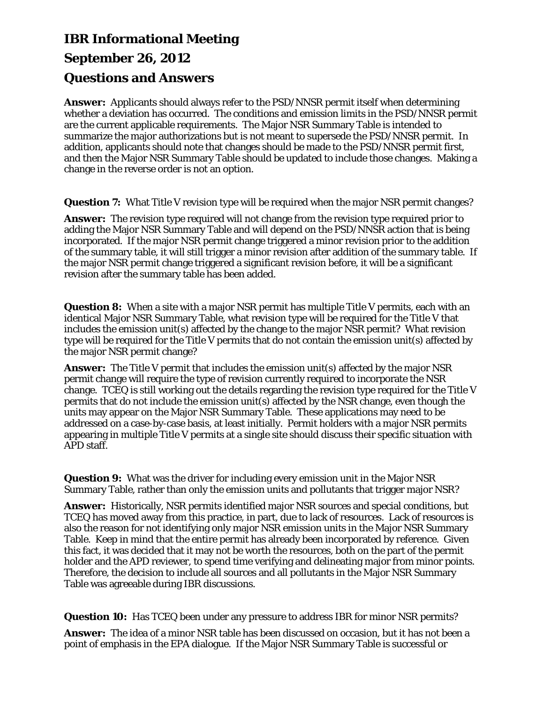## **IBR Informational Meeting September 26, 2012 Questions and Answers**

 **Answer:** Applicants should always refer to the PSD/NNSR permit itself when determining whether a deviation has occurred. The conditions and emission limits in the PSD/NNSR permit are the current applicable requirements. The Major NSR Summary Table is intended to summarize the major authorizations but is not meant to supersede the PSD/NNSR permit. In addition, applicants should note that changes should be made to the PSD/NNSR permit first, and then the Major NSR Summary Table should be updated to include those changes. Making a change in the reverse order is not an option.

**Question 7:** What Title V revision type will be required when the major NSR permit changes?

 **Answer:** The revision type required will not change from the revision type required prior to adding the Major NSR Summary Table and will depend on the PSD/NNSR action that is being incorporated. If the major NSR permit change triggered a minor revision prior to the addition of the summary table, it will still trigger a minor revision after addition of the summary table. If the major NSR permit change triggered a significant revision before, it will be a significant revision after the summary table has been added.

 **Question 8:** When a site with a major NSR permit has multiple Title V permits, each with an identical Major NSR Summary Table, what revision type will be required for the Title V that type will be required for the Title V permits that do not contain the emission unit(s) affected by includes the emission unit(s) affected by the change to the major NSR permit? What revision the major NSR permit change?

 **Answer:** The Title V permit that includes the emission unit(s) affected by the major NSR addressed on a case-by-case basis, at least initially. Permit holders with a major NSR permits permit change will require the type of revision currently required to incorporate the NSR change. TCEQ is still working out the details regarding the revision type required for the Title V permits that do not include the emission unit(s) affected by the NSR change, even though the units may appear on the Major NSR Summary Table. These applications may need to be appearing in multiple Title V permits at a single site should discuss their specific situation with APD staff.

 **Question 9:** What was the driver for including every emission unit in the Major NSR Summary Table, rather than only the emission units and pollutants that trigger major NSR?

 **Answer:** Historically, NSR permits identified major NSR sources and special conditions, but TCEQ has moved away from this practice, in part, due to lack of resources. Lack of resources is Table. Keep in mind that the entire permit has already been incorporated by reference. Given holder and the APD reviewer, to spend time verifying and delineating major from minor points. Therefore, the decision to include all sources and all pollutants in the Major NSR Summary also the reason for not identifying only major NSR emission units in the Major NSR Summary this fact, it was decided that it may not be worth the resources, both on the part of the permit Table was agreeable during IBR discussions.

**Question 10:** Has TCEQ been under any pressure to address IBR for minor NSR permits?

 **Answer:** The idea of a minor NSR table has been discussed on occasion, but it has not been a point of emphasis in the EPA dialogue. If the Major NSR Summary Table is successful or